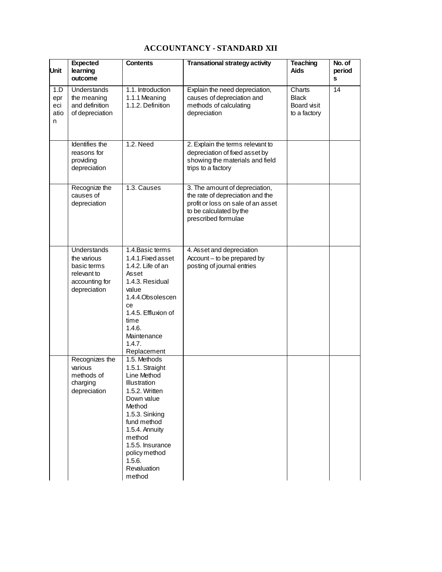## **ACCOUNTANCY - STANDARD XII**

| Unit                           | <b>Expected</b><br>learning<br>outcome                                                            | <b>Contents</b>                                                                                                                                                                                                                               | <b>Transational strategy activity</b>                                                                                                                      | <b>Teaching</b><br>Aids                               | No. of<br>period<br>s |
|--------------------------------|---------------------------------------------------------------------------------------------------|-----------------------------------------------------------------------------------------------------------------------------------------------------------------------------------------------------------------------------------------------|------------------------------------------------------------------------------------------------------------------------------------------------------------|-------------------------------------------------------|-----------------------|
| 1.D<br>epr<br>eci<br>atio<br>n | Understands<br>the meaning<br>and definition<br>of depreciation                                   | 1.1. Introduction<br>1.1.1 Meaning<br>1.1.2. Definition                                                                                                                                                                                       | Explain the need depreciation,<br>causes of depreciation and<br>methods of calculating<br>depreciation                                                     | Charts<br><b>Black</b><br>Board visit<br>to a factory | 14                    |
|                                | Identifies the<br>reasons for<br>providing<br>depreciation                                        | 1.2. Need                                                                                                                                                                                                                                     | 2. Explain the terms relevant to<br>depreciation of fixed asset by<br>showing the materials and field<br>trips to a factory                                |                                                       |                       |
|                                | Recognize the<br>causes of<br>depreciation                                                        | 1.3. Causes                                                                                                                                                                                                                                   | 3. The amount of depreciation,<br>the rate of depreciation and the<br>profit or loss on sale of an asset<br>to be calculated by the<br>prescribed formulae |                                                       |                       |
|                                | <b>Understands</b><br>the various<br>basic terms<br>relevant to<br>accounting for<br>depreciation | 1.4. Basic terms<br>1.4.1. Fixed asset<br>1.4.2. Life of an<br>Asset<br>1.4.3. Residual<br>value<br>1.4.4.Obsolescen<br>ce<br>1.4.5. Effluxion of<br>time<br>1.4.6.<br>Maintenance<br>1.4.7.<br>Replacement                                   | 4. Asset and depreciation<br>Account - to be prepared by<br>posting of journal entries                                                                     |                                                       |                       |
|                                | Recognizes the<br>various<br>methods of<br>charging<br>depreciation                               | 1.5. Methods<br>1.5.1. Straight<br>Line Method<br>Illustration<br>1.5.2. Written<br>Down value<br>Method<br>1.5.3. Sinking<br>fund method<br>1.5.4. Annuity<br>method<br>1.5.5. Insurance<br>policy method<br>1.5.6.<br>Revaluation<br>method |                                                                                                                                                            |                                                       |                       |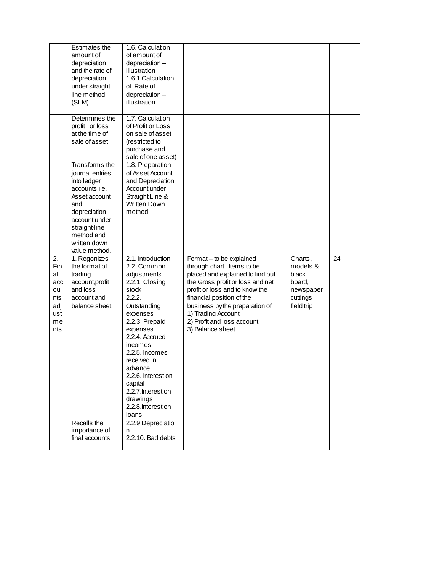|                                                                | Estimates the<br>amount of<br>depreciation<br>and the rate of<br>depreciation<br>under straight<br>line method<br>(SLM)                                                                           | 1.6. Calculation<br>of amount of<br>depreciation-<br>illustration<br>1.6.1 Calculation<br>of Rate of<br>depreciation-<br>illustration                                                                                                                                                                                    |                                                                                                                                                                                                                                                                                                         |                                                                               |    |
|----------------------------------------------------------------|---------------------------------------------------------------------------------------------------------------------------------------------------------------------------------------------------|--------------------------------------------------------------------------------------------------------------------------------------------------------------------------------------------------------------------------------------------------------------------------------------------------------------------------|---------------------------------------------------------------------------------------------------------------------------------------------------------------------------------------------------------------------------------------------------------------------------------------------------------|-------------------------------------------------------------------------------|----|
|                                                                | Determines the<br>profit or loss<br>at the time of<br>sale of asset                                                                                                                               | 1.7. Calculation<br>of Profit or Loss<br>on sale of asset<br>(restricted to<br>purchase and<br>sale of one asset)                                                                                                                                                                                                        |                                                                                                                                                                                                                                                                                                         |                                                                               |    |
|                                                                | Transforms the<br>journal entries<br>into ledger<br>accounts <i>i.e.</i><br>Asset account<br>and<br>depreciation<br>account under<br>straight-line<br>method and<br>written down<br>value method. | 1.8. Preparation<br>of Asset Account<br>and Depreciation<br>Account under<br>Straight Line &<br><b>Written Down</b><br>method                                                                                                                                                                                            |                                                                                                                                                                                                                                                                                                         |                                                                               |    |
| 2.<br>Fin<br>al<br>acc<br>ou<br>nts<br>adj<br>ust<br>me<br>nts | 1. Regonizes<br>the format of<br>trading<br>account, profit<br>and loss<br>account and<br>balance sheet                                                                                           | 2.1. Introduction<br>2.2. Common<br>adjustments<br>2.2.1. Closing<br>stock<br>2.2.2.<br>Outstanding<br>expenses<br>2.2.3. Prepaid<br>expenses<br>2.2.4. Accrued<br>incomes<br>2.2.5. Incomes<br>received in<br>advance<br>2.2.6. Interest on<br>capital<br>2.2.7. Interest on<br>drawings<br>2.2.8. Interest on<br>loans | Format - to be explained<br>through chart. Items to be<br>placed and explained to find out<br>the Gross profit or loss and net<br>profit or loss and to know the<br>financial position of the<br>business by the preparation of<br>1) Trading Account<br>2) Profit and loss account<br>3) Balance sheet | Charts,<br>models &<br>black<br>board,<br>newspaper<br>cuttings<br>field trip | 24 |
|                                                                | Recalls the<br>importance of<br>final accounts                                                                                                                                                    | 2.2.9. Depreciatio<br>n<br>2.2.10. Bad debts                                                                                                                                                                                                                                                                             |                                                                                                                                                                                                                                                                                                         |                                                                               |    |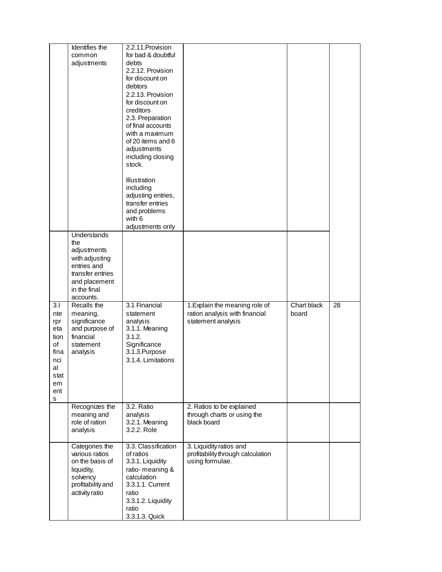|                                                                                       | Identifies the<br>common<br>adjustments                                                                                              | 2.2.11. Provision<br>for bad & doubtful<br>debts<br>2.2.12. Provision<br>for discount on<br>debtors                                                                   |                                                                                        |                      |    |
|---------------------------------------------------------------------------------------|--------------------------------------------------------------------------------------------------------------------------------------|-----------------------------------------------------------------------------------------------------------------------------------------------------------------------|----------------------------------------------------------------------------------------|----------------------|----|
|                                                                                       |                                                                                                                                      | 2.2.13. Provision<br>for discount on<br>creditors<br>2.3. Preparation<br>of final accounts<br>with a maximum<br>of 20 items and 6<br>adjustments<br>including closing |                                                                                        |                      |    |
|                                                                                       |                                                                                                                                      | stock.<br><b>Illustration</b><br>including<br>adjusting entries,<br>transfer entries<br>and problems<br>with 6<br>adjustments only                                    |                                                                                        |                      |    |
|                                                                                       | Understands<br>the<br>adjustments<br>with adjusting<br>entries and<br>transfer entries<br>and placement<br>in the final<br>accounts. |                                                                                                                                                                       |                                                                                        |                      |    |
| 3.1<br>nte<br>rpr<br>eta<br>tion<br>of<br>fina<br>nci<br>al<br>stat<br>em<br>ent<br>s | Recalls the<br>meaning,<br>significance<br>and purpose of<br>financial<br>statement<br>analysis                                      | 3.1 Financial<br>statement<br>analysis<br>3.1.1. Meaning<br>3.1.2.<br>Significance<br>3.1.3. Purpose<br>3.1.4. Limitations                                            | 1. Explain the meaning role of<br>ration analysis with financial<br>statement analysis | Chart black<br>board | 28 |
|                                                                                       | Recognizes the<br>meaning and<br>role of ration<br>analysis                                                                          | 3.2. Ratio<br>analysis<br>3.2.1. Meaning<br>3.2.2. Role                                                                                                               | 2. Ratios to be explained<br>through charts or using the<br>black board                |                      |    |
|                                                                                       | Categories the<br>various ratios<br>on the basis of<br>liquidity,<br>solvency<br>profitability and<br>activity ratio                 | 3.3. Classification<br>of ratios<br>3.3.1. Liquidity<br>ratio-meaning &<br>calculation<br>3.3.1.1. Current<br>ratio<br>3.3.1.2. Liquidity<br>ratio<br>3.3.1.3. Quick  | 3. Liquidity ratios and<br>profitability through calculation<br>using formulae.        |                      |    |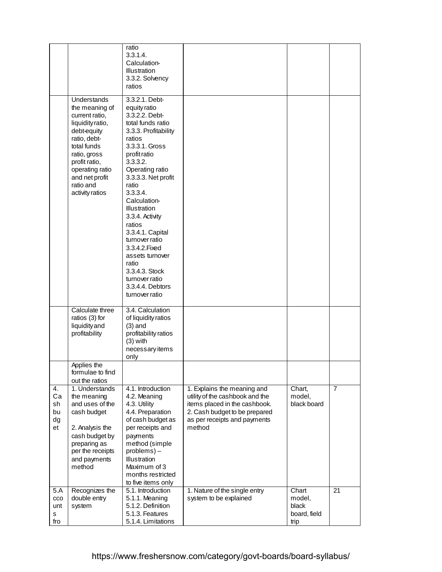|                                  |                                                                                                                                                                                                                         | ratio<br>3.3.1.4.<br>Calculation-<br><b>Illustration</b><br>3.3.2. Solvency<br>ratios                                                                                                                                                                                                                                                                                                                                                                  |                                                                                                                                                                            |                                                  |                |
|----------------------------------|-------------------------------------------------------------------------------------------------------------------------------------------------------------------------------------------------------------------------|--------------------------------------------------------------------------------------------------------------------------------------------------------------------------------------------------------------------------------------------------------------------------------------------------------------------------------------------------------------------------------------------------------------------------------------------------------|----------------------------------------------------------------------------------------------------------------------------------------------------------------------------|--------------------------------------------------|----------------|
|                                  | Understands<br>the meaning of<br>current ratio,<br>liquidity ratio,<br>debt-equity<br>ratio, debt-<br>total funds<br>ratio, gross<br>profit ratio,<br>operating ratio<br>and net profit<br>ratio and<br>activity ratios | 3.3.2.1. Debt-<br>equity ratio<br>3.3.2.2. Debt-<br>total funds ratio<br>3.3.3. Profitability<br>ratios<br>3.3.3.1. Gross<br>profit ratio<br>3.3.3.2.<br>Operating ratio<br>3.3.3.3. Net profit<br>ratio<br>3.3.3.4.<br>Calculation-<br><b>Illustration</b><br>3.3.4. Activity<br>ratios<br>3.3.4.1. Capital<br>turnover ratio<br>3.3.4.2. Fixed<br>assets turnover<br>ratio<br>3.3.4.3. Stock<br>turnover ratio<br>3.3.4.4. Debtors<br>turnover ratio |                                                                                                                                                                            |                                                  |                |
|                                  | Calculate three<br>ratios (3) for<br>liquidity and<br>profitability                                                                                                                                                     | 3.4. Calculation<br>of liquidity ratios<br>$(3)$ and<br>profitability ratios<br>$(3)$ with<br>necessary items<br>only                                                                                                                                                                                                                                                                                                                                  |                                                                                                                                                                            |                                                  |                |
|                                  | Applies the<br>formulae to find<br>out the ratios                                                                                                                                                                       |                                                                                                                                                                                                                                                                                                                                                                                                                                                        |                                                                                                                                                                            |                                                  |                |
| 4.<br>Ca<br>sh<br>bu<br>dg<br>et | 1. Understands<br>the meaning<br>and uses of the<br>cash budget<br>2. Analysis the<br>cash budget by<br>preparing as<br>per the receipts<br>and payments<br>method                                                      | 4.1. Introduction<br>4.2. Meaning<br>4.3. Utility<br>4.4. Preparation<br>of cash budget as<br>per receipts and<br>payments<br>method (simple<br>problems)-<br><b>Illustration</b><br>Maximum of 3<br>months restricted<br>to five items only                                                                                                                                                                                                           | 1. Explains the meaning and<br>utility of the cashbook and the<br>items placed in the cashbook.<br>2. Cash budget to be prepared<br>as per receipts and payments<br>method | Chart,<br>model,<br>black board                  | $\overline{7}$ |
| 5.A<br>cco<br>unt<br>s<br>fro    | Recognizes the<br>double entry<br>system                                                                                                                                                                                | 5.1. Introduction<br>5.1.1. Meaning<br>5.1.2. Definition<br>5.1.3. Features<br>5.1.4. Limitations                                                                                                                                                                                                                                                                                                                                                      | 1. Nature of the single entry<br>system to be explained                                                                                                                    | Chart<br>model,<br>black<br>board, field<br>trip | 21             |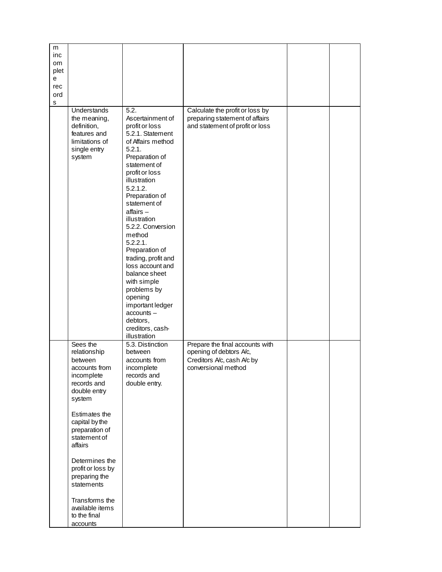| m    |                   |                     |                                 |  |
|------|-------------------|---------------------|---------------------------------|--|
| inc  |                   |                     |                                 |  |
| om.  |                   |                     |                                 |  |
| plet |                   |                     |                                 |  |
| е    |                   |                     |                                 |  |
| rec  |                   |                     |                                 |  |
| ord  |                   |                     |                                 |  |
| s    |                   |                     |                                 |  |
|      | Understands       | 5.2.                | Calculate the profit or loss by |  |
|      | the meaning,      | Ascertainment of    | preparing statement of affairs  |  |
|      | definition,       | profit or loss      | and statement of profit or loss |  |
|      | features and      | 5.2.1. Statement    |                                 |  |
|      | limitations of    | of Affairs method   |                                 |  |
|      | single entry      | 5.2.1.              |                                 |  |
|      | system            | Preparation of      |                                 |  |
|      |                   | statement of        |                                 |  |
|      |                   | profit or loss      |                                 |  |
|      |                   | illustration        |                                 |  |
|      |                   | 5.2.1.2.            |                                 |  |
|      |                   | Preparation of      |                                 |  |
|      |                   | statement of        |                                 |  |
|      |                   | $affairs -$         |                                 |  |
|      |                   | illustration        |                                 |  |
|      |                   | 5.2.2. Conversion   |                                 |  |
|      |                   | method              |                                 |  |
|      |                   | 5.2.2.1.            |                                 |  |
|      |                   | Preparation of      |                                 |  |
|      |                   | trading, profit and |                                 |  |
|      |                   | loss account and    |                                 |  |
|      |                   | balance sheet       |                                 |  |
|      |                   | with simple         |                                 |  |
|      |                   | problems by         |                                 |  |
|      |                   | opening             |                                 |  |
|      |                   | important ledger    |                                 |  |
|      |                   | accounts -          |                                 |  |
|      |                   | debtors,            |                                 |  |
|      |                   | creditors, cash-    |                                 |  |
|      |                   | illustration        |                                 |  |
|      | Sees the          | 5.3. Distinction    | Prepare the final accounts with |  |
|      | relationship      | between             | opening of debtors A/c,         |  |
|      | between           | accounts from       | Creditors A/c, cash A/c by      |  |
|      | accounts from     | incomplete          | conversional method             |  |
|      | incomplete        | records and         |                                 |  |
|      | records and       | double entry.       |                                 |  |
|      | double entry      |                     |                                 |  |
|      | system            |                     |                                 |  |
|      |                   |                     |                                 |  |
|      | Estimates the     |                     |                                 |  |
|      | capital by the    |                     |                                 |  |
|      | preparation of    |                     |                                 |  |
|      | statement of      |                     |                                 |  |
|      | affairs           |                     |                                 |  |
|      |                   |                     |                                 |  |
|      | Determines the    |                     |                                 |  |
|      | profit or loss by |                     |                                 |  |
|      | preparing the     |                     |                                 |  |
|      | statements        |                     |                                 |  |
|      |                   |                     |                                 |  |
|      | Transforms the    |                     |                                 |  |
|      | available items   |                     |                                 |  |
|      | to the final      |                     |                                 |  |
|      | accounts          |                     |                                 |  |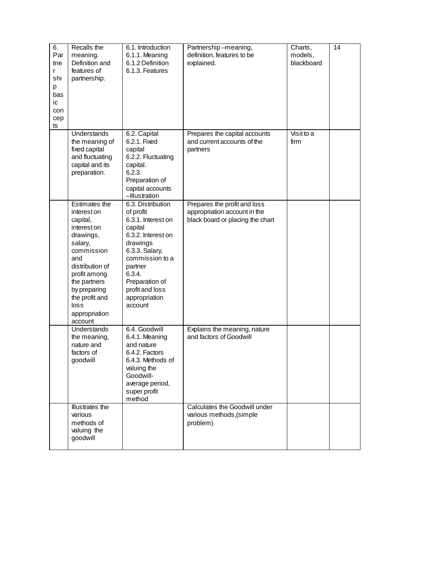| 6.<br>Par<br>tne<br>r<br>shi<br>p<br>bas<br>ic<br>con<br>cep<br>ts | Recalls the<br>meaning.<br>Definition and<br>features of<br>partnership.                                                                                                                                                      | 6.1. Introduction<br>6.1.1. Meaning<br>6.1.2 Definition<br>6.1.3. Features                                                                                                                                                   | Partnership-meaning,<br>definition, features to be<br>explained.                                 | Charts,<br>models,<br>blackboard | 14 |
|--------------------------------------------------------------------|-------------------------------------------------------------------------------------------------------------------------------------------------------------------------------------------------------------------------------|------------------------------------------------------------------------------------------------------------------------------------------------------------------------------------------------------------------------------|--------------------------------------------------------------------------------------------------|----------------------------------|----|
|                                                                    | Understands<br>the meaning of<br>fixed capital<br>and fluctuating<br>capital and its<br>preparation.                                                                                                                          | 6.2. Capital<br>6.2.1. Fixed<br>capital<br>6.2.2. Fluctuating<br>capital.<br>6.2.3.<br>Preparation of<br>capital accounts<br>-Illustration                                                                                   | Prepares the capital accounts<br>and current accounts of the<br>partners                         | Visit to a<br>firm               |    |
|                                                                    | Estimates the<br>interest on<br>capital,<br>interest on<br>drawings,<br>salary,<br>commission<br>and<br>distribution of<br>profit among<br>the partners<br>by preparing<br>the profit and<br>loss<br>appropriation<br>account | 6.3. Distribution<br>of profit<br>6.3.1. Interest on<br>capital<br>6.3.2. Interest on<br>drawings<br>6.3.3. Salary,<br>commission to a<br>partner<br>6.3.4.<br>Preparation of<br>profit and loss<br>appropriation<br>account | Prepares the profit and loss<br>appropriation account in the<br>black board or placing the chart |                                  |    |
|                                                                    | Understands<br>the meaning,<br>nature and<br>factors of<br>goodwill                                                                                                                                                           | 6.4. Goodwill<br>6.4.1. Meaning<br>and nature<br>6.4.2. Factors<br>6.4.3. Methods of<br>valuing the<br>Goodwill-<br>average period,<br>super profit<br>method                                                                | Explains the meaning, nature<br>and factors of Goodwill                                          |                                  |    |
|                                                                    | Illustrates the<br>various<br>methods of<br>valuing the<br>goodwill                                                                                                                                                           |                                                                                                                                                                                                                              | Calculates the Goodwill under<br>various methods, (simple<br>problem)                            |                                  |    |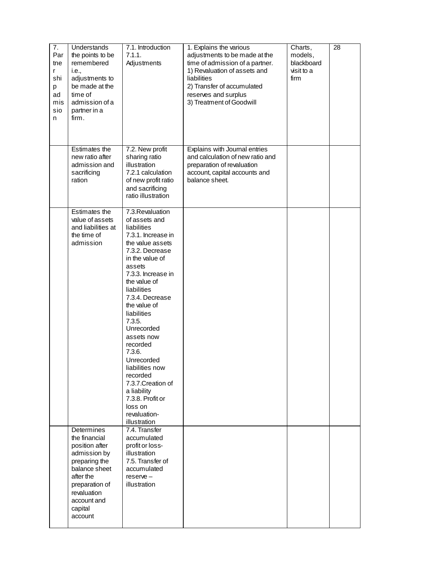| 7.<br>Par<br>tne<br>r<br>shi<br>p<br>ad<br>mis<br>sio<br>n | Understands<br>the points to be<br>remembered<br>i.e.,<br>adjustments to<br>be made at the<br>time of<br>admission of a<br>partner in a<br>firm.                                   | 7.1. Introduction<br>7.1.1.<br>Adjustments                                                                                                                                                                                                                                                                                                                                                                                                                     | 1. Explains the various<br>adjustments to be made at the<br>time of admission of a partner.<br>1) Revaluation of assets and<br>liabilities<br>2) Transfer of accumulated<br>reserves and surplus<br>3) Treatment of Goodwill | Charts,<br>models,<br>blackboard<br>visit to a<br>firm | 28 |
|------------------------------------------------------------|------------------------------------------------------------------------------------------------------------------------------------------------------------------------------------|----------------------------------------------------------------------------------------------------------------------------------------------------------------------------------------------------------------------------------------------------------------------------------------------------------------------------------------------------------------------------------------------------------------------------------------------------------------|------------------------------------------------------------------------------------------------------------------------------------------------------------------------------------------------------------------------------|--------------------------------------------------------|----|
|                                                            | Estimates the<br>new ratio after<br>admission and<br>sacrificing<br>ration                                                                                                         | 7.2. New profit<br>sharing ratio<br>illustration<br>7.2.1 calculation<br>of new profit ratio<br>and sacrificing<br>ratio illustration                                                                                                                                                                                                                                                                                                                          | Explains with Journal entries<br>and calculation of new ratio and<br>preparation of revaluation<br>account, capital accounts and<br>balance sheet.                                                                           |                                                        |    |
|                                                            | Estimates the<br>value of assets<br>and liabilities at<br>the time of<br>admission                                                                                                 | 7.3. Revaluation<br>of assets and<br>liabilities<br>7.3.1. Increase in<br>the value assets<br>7.3.2. Decrease<br>in the value of<br>assets<br>7.3.3. Increase in<br>the value of<br>liabilities<br>7.3.4. Decrease<br>the value of<br>liabilities<br>7.3.5.<br>Unrecorded<br>assets now<br>recorded<br>7.3.6.<br>Unrecorded<br>liabilities now<br>recorded<br>7.3.7. Creation of<br>a liability<br>7.3.8. Profit or<br>loss on<br>revaluation-<br>illustration |                                                                                                                                                                                                                              |                                                        |    |
|                                                            | Determines<br>the financial<br>position after<br>admission by<br>preparing the<br>balance sheet<br>after the<br>preparation of<br>revaluation<br>account and<br>capital<br>account | 7.4. Transfer<br>accumulated<br>profit or loss-<br>illustration<br>7.5. Transfer of<br>accumulated<br>$reserve -$<br>illustration                                                                                                                                                                                                                                                                                                                              |                                                                                                                                                                                                                              |                                                        |    |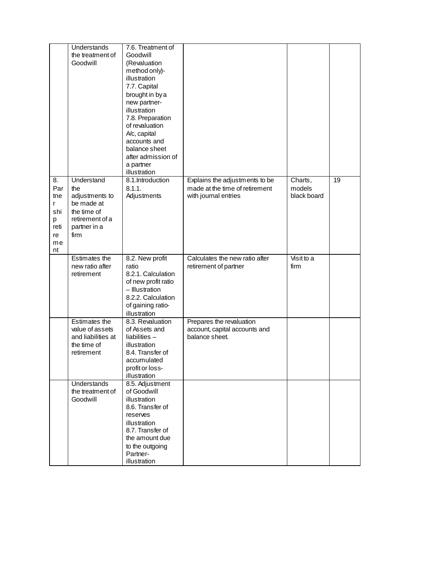|                                   | Understands<br>the treatment of<br>Goodwill                                         | 7.6. Treatment of<br>Goodwill<br>(Revaluation<br>method only)-<br>illustration<br>7.7. Capital<br>brought in by a<br>new partner-<br>illustration<br>7.8. Preparation<br>of revaluation<br>A/c, capital<br>accounts and<br>balance sheet<br>after admission of<br>a partner<br>illustration |                                                                                          |                                  |    |
|-----------------------------------|-------------------------------------------------------------------------------------|---------------------------------------------------------------------------------------------------------------------------------------------------------------------------------------------------------------------------------------------------------------------------------------------|------------------------------------------------------------------------------------------|----------------------------------|----|
| 8.<br>Par<br>tne<br>r<br>shi<br>p | Understand<br>the<br>adjustments to<br>be made at<br>the time of<br>retirement of a | 8.1.Introduction<br>8.1.1.<br>Adjustments                                                                                                                                                                                                                                                   | Explains the adjustments to be<br>made at the time of retirement<br>with journal entries | Charts,<br>models<br>black board | 19 |
| reti<br>re<br>me<br>nt            | partner in a<br>firm                                                                |                                                                                                                                                                                                                                                                                             |                                                                                          |                                  |    |
|                                   | Estimates the<br>new ratio after<br>retirement                                      | 8.2. New profit<br>ratio<br>8.2.1. Calculation<br>of new profit ratio<br>- Illustration<br>8.2.2. Calculation<br>of gaining ratio-<br>illustration                                                                                                                                          | Calculates the new ratio after<br>retirement of partner                                  | Visit to a<br>firm               |    |
|                                   | Estimates the<br>value of assets<br>and liabilities at<br>the time of<br>retirement | 8.3. Revaluation<br>of Assets and<br>liabilities $-$<br>illustration<br>8.4. Transfer of<br>accumulated<br>profit or loss-<br>illustration                                                                                                                                                  | Prepares the revaluation<br>account, capital accounts and<br>balance sheet.              |                                  |    |
|                                   | Understands<br>the treatment of<br>Goodwill                                         | 8.5. Adjustment<br>of Goodwill<br>illustration<br>8.6. Transfer of<br>reserves<br>illustration<br>8.7. Transfer of<br>the amount due<br>to the outgoing<br>Partner-<br>illustration                                                                                                         |                                                                                          |                                  |    |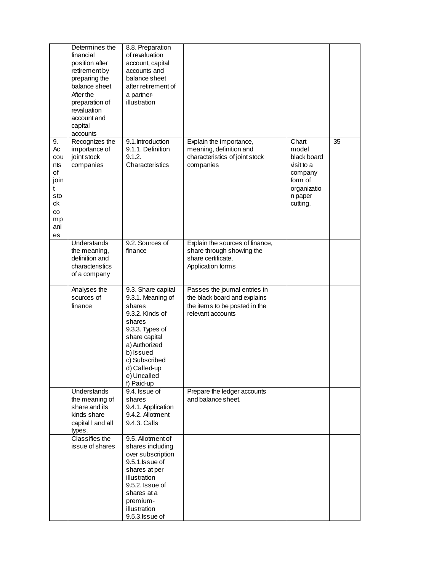|                                                                                 | Determines the<br>financial<br>position after<br>retirement by<br>preparing the<br>balance sheet<br>After the<br>preparation of<br>revaluation<br>account and<br>capital<br>accounts | 8.8. Preparation<br>of revaluation<br>account, capital<br>accounts and<br>balance sheet<br>after retirement of<br>a partner-<br>illustration                                                                   |                                                                                                                     |                                                                                                         |    |
|---------------------------------------------------------------------------------|--------------------------------------------------------------------------------------------------------------------------------------------------------------------------------------|----------------------------------------------------------------------------------------------------------------------------------------------------------------------------------------------------------------|---------------------------------------------------------------------------------------------------------------------|---------------------------------------------------------------------------------------------------------|----|
| 9.<br>Ac<br>cou<br>nts<br>of<br>join<br>t<br>sto<br>ck<br>CO<br>mp<br>ani<br>es | Recognizes the<br>importance of<br>joint stock<br>companies                                                                                                                          | 9.1.Introduction<br>9.1.1. Definition<br>9.1.2.<br>Characteristics                                                                                                                                             | Explain the importance,<br>meaning, definition and<br>characteristics of joint stock<br>companies                   | Chart<br>model<br>black board<br>visit to a<br>company<br>form of<br>organizatio<br>n paper<br>cutting. | 35 |
|                                                                                 | Understands<br>the meaning,<br>definition and<br>characteristics<br>of a company                                                                                                     | 9.2. Sources of<br>finance                                                                                                                                                                                     | Explain the sources of finance,<br>share through showing the<br>share certificate,<br>Application forms             |                                                                                                         |    |
|                                                                                 | Analyses the<br>sources of<br>finance                                                                                                                                                | 9.3. Share capital<br>9.3.1. Meaning of<br>shares<br>9.3.2. Kinds of<br>shares<br>9.3.3. Types of<br>share capital<br>a) Authorized<br>b) Issued<br>c) Subscribed<br>d) Called-up<br>e) Uncalled<br>f) Paid-up | Passes the journal entries in<br>the black board and explains<br>the items to be posted in the<br>relevant accounts |                                                                                                         |    |
|                                                                                 | <b>Understands</b><br>the meaning of<br>share and its<br>kinds share<br>capital I and all<br>types.                                                                                  | 9.4. Issue of<br>shares<br>9.4.1. Application<br>9.4.2. Allotment<br>9.4.3. Calls                                                                                                                              | Prepare the ledger accounts<br>and balance sheet.                                                                   |                                                                                                         |    |
|                                                                                 | Classifies the<br>issue of shares                                                                                                                                                    | 9.5. Allotment of<br>shares including<br>over subscription<br>9.5.1. Issue of<br>shares at per<br>illustration<br>9.5.2. Issue of<br>shares at a<br>premium-<br>illustration<br>9.5.3. Issue of                |                                                                                                                     |                                                                                                         |    |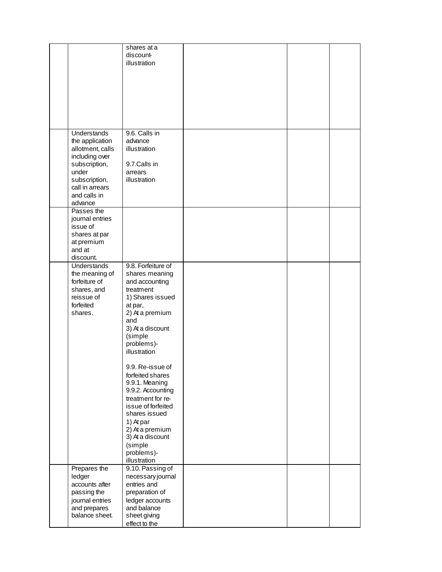|                                                                                                                                                                      | shares at a<br>discount-<br>illustration                                                                                                                                                                                             |  |  |
|----------------------------------------------------------------------------------------------------------------------------------------------------------------------|--------------------------------------------------------------------------------------------------------------------------------------------------------------------------------------------------------------------------------------|--|--|
| <b>Understands</b><br>the application<br>allotment, calls<br>including over<br>subscription,<br>under<br>subscription,<br>call in arrears<br>and calls in<br>advance | 9.6. Calls in<br>advance<br>illustration<br>9.7.Calls in<br>arrears<br>illustration                                                                                                                                                  |  |  |
| Passes the<br>journal entries<br>issue of<br>shares at par<br>at premium<br>and at<br>discount.                                                                      |                                                                                                                                                                                                                                      |  |  |
| Understands<br>the meaning of<br>forfeiture of<br>shares, and<br>reissue of<br>forfeited<br>shares.                                                                  | 9.8. Forfeiture of<br>shares meaning<br>and accounting<br>treatment<br>1) Shares issued<br>at par,<br>2) At a premium<br>and<br>3) At a discount<br>(simple<br>problems)-<br>illustration                                            |  |  |
|                                                                                                                                                                      | 9.9. Re-issue of<br>forfeited shares<br>9.9.1. Meaning<br>9.9.2. Accounting<br>treatment for re-<br>issue of forfeited<br>shares issued<br>1) At par<br>2) At a premium<br>3) At a discount<br>(simple<br>problems)-<br>illustration |  |  |
| Prepares the<br>ledger<br>accounts after<br>passing the<br>journal entries<br>and prepares<br>balance sheet.                                                         | 9.10. Passing of<br>necessary journal<br>entries and<br>preparation of<br>ledger accounts<br>and balance<br>sheet giving<br>effect to the                                                                                            |  |  |